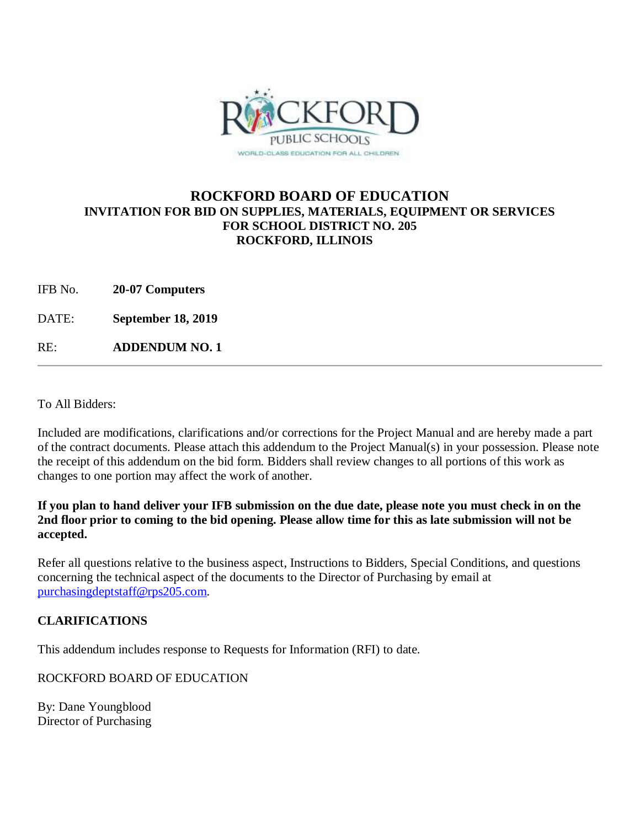

## **ROCKFORD BOARD OF EDUCATION INVITATION FOR BID ON SUPPLIES, MATERIALS, EQUIPMENT OR SERVICES FOR SCHOOL DISTRICT NO. 205 ROCKFORD, ILLINOIS**

IFB No. **20-07 Computers**

DATE: **September 18, 2019**

RE: **ADDENDUM NO. 1**

To All Bidders:

Included are modifications, clarifications and/or corrections for the Project Manual and are hereby made a part of the contract documents. Please attach this addendum to the Project Manual(s) in your possession. Please note the receipt of this addendum on the bid form. Bidders shall review changes to all portions of this work as changes to one portion may affect the work of another.

## **If you plan to hand deliver your IFB submission on the due date, please note you must check in on the 2nd floor prior to coming to the bid opening. Please allow time for this as late submission will not be accepted.**

Refer all questions relative to the business aspect, Instructions to Bidders, Special Conditions, and questions concerning the technical aspect of the documents to the Director of Purchasing by email at [purchasingdeptstaff@rps205.com.](mailto:purchasingdeptstaff@rps205.com)

## **CLARIFICATIONS**

This addendum includes response to Requests for Information (RFI) to date.

ROCKFORD BOARD OF EDUCATION

By: Dane Youngblood Director of Purchasing